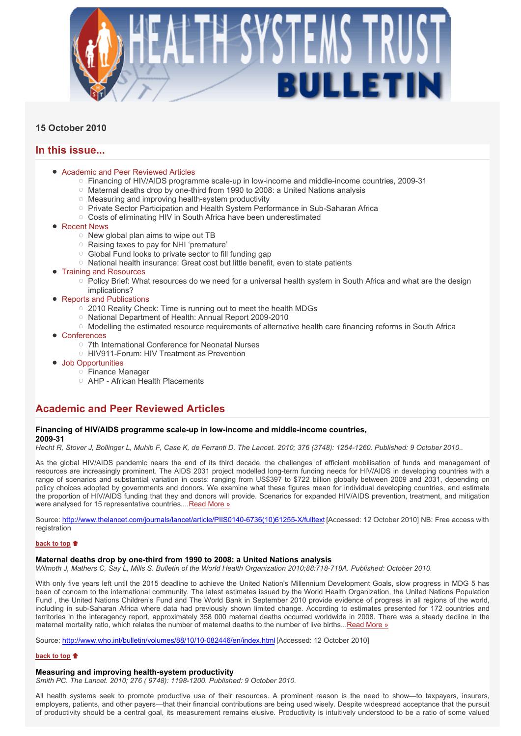

# **15 October 2010**

# **In this issue...**

- Academic and Peer Reviewed Articles
	- Financing of HIV/AIDS programme scale-up in low-income and middle-income countries, 2009-31
	- Maternal deaths drop by one-third from 1990 to 2008: a United Nations analysis
	- $\circ$  Measuring and improving health-system productivity
	- Private Sector Participation and Health System Performance in Sub-Saharan Africa
	- Costs of eliminating HIV in South Africa have been underestimated
- Recent News
	- $\circ$  New global plan aims to wipe out TB
	- Raising taxes to pay for NHI 'premature'
	- Global Fund looks to private sector to fill funding gap
	- $\circ$  National health insurance: Great cost but little benefit, even to state patients
- Training and Resources
	- Policy Brief: What resources do we need for a universal health system in South Africa and what are the design implications?
- Reports and Publications
	- 2010 Reality Check: Time is running out to meet the health MDGs
	- O National Department of Health: Annual Report 2009-2010
	- Modelling the estimated resource requirements of alternative health care financing reforms in South Africa
- Conferences
	- 7th International Conference for Neonatal Nurses
	- HIV911-Forum: HIV Treatment as Prevention
- Job Opportunities
	- Finance Manager
	- AHP African Health Placements

# **Academic and Peer Reviewed Articles**

### **Financing of HIV/AIDS programme scale-up in low-income and middle-income countries, 2009-31**

*Hecht R, Stover J, Bollinger L, Muhib F, Case K, de Ferranti D. The Lancet. 2010; 376 (3748): 1254-1260. Published: 9 October 2010..*

As the global HIV/AIDS pandemic nears the end of its third decade, the challenges of efficient mobilisation of funds and management of resources are increasingly prominent. The AIDS 2031 project modelled long-term funding needs for HIV/AIDS in developing countries with a range of scenarios and substantial variation in costs: ranging from US\$397 to \$722 billion globally between 2009 and 2031, depending on policy choices adopted by governments and donors. We examine what these figures mean for individual developing countries, and estimate the proportion of HIV/AIDS funding that they and donors will provide. Scenarios for expanded HIV/AIDS prevention, treatment, and mitigation were analysed for 15 representative countries....Read More »

Source: http://www.thelancet.com/journals/lancet/article/PIIS0140-6736(10)61255-X/fulltext [Accessed: 12 October 2010] NB: Free access with registration

### **back to top**

## **Maternal deaths drop by one-third from 1990 to 2008: a United Nations analysis**

*Wilmoth J, Mathers C, Say L, Mills S. Bulletin of the World Health Organization 2010;88:718-718A. Published: October 2010.* 

With only five years left until the 2015 deadline to achieve the United Nation's Millennium Development Goals, slow progress in MDG 5 has been of concern to the international community. The latest estimates issued by the World Health Organization, the United Nations Population Fund , the United Nations Children's Fund and The World Bank in September 2010 provide evidence of progress in all regions of the world, including in sub-Saharan Africa where data had previously shown limited change. According to estimates presented for 172 countries and territories in the interagency report, approximately 358 000 maternal deaths occurred worldwide in 2008. There was a steady decline in the maternal mortality ratio, which relates the number of maternal deaths to the number of live births...Read More »

Source: http://www.who.int/bulletin/volumes/88/10/10-082446/en/index.html [Accessed: 12 October 2010]

## **back to top**

## **Measuring and improving health-system productivity**

*Smith PC. The Lancet. 2010; 276 ( 9748): 1198-1200. Published: 9 October 2010.* 

All health systems seek to promote productive use of their resources. A prominent reason is the need to show—to taxpayers, insurers, employers, patients, and other payers—that their financial contributions are being used wisely. Despite widespread acceptance that the pursuit of productivity should be a central goal, its measurement remains elusive. Productivity is intuitively understood to be a ratio of some valued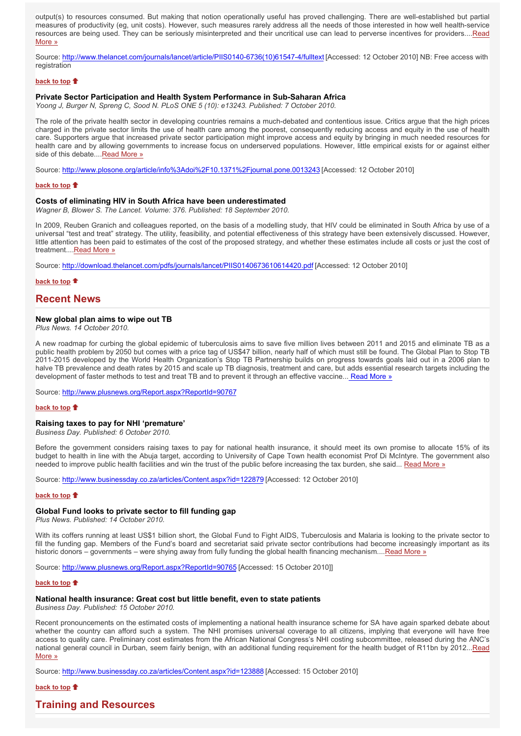output(s) to resources consumed. But making that notion operationally useful has proved challenging. There are well-established but partial measures of productivity (eg, unit costs). However, such measures rarely address all the needs of those interested in how well health-service resources are being used. They can be seriously misinterpreted and their uncritical use can lead to perverse incentives for providers....Read More »

Source: http://www.thelancet.com/journals/lancet/article/PIIS0140-6736(10)61547-4/fulltext [Accessed: 12 October 2010] NB: Free access with registration

### **back to top**

### **Private Sector Participation and Health System Performance in Sub-Saharan Africa**

*Yoong J, Burger N, Spreng C, Sood N. PLoS ONE 5 (10): e13243. Published: 7 October 2010.* 

The role of the private health sector in developing countries remains a much-debated and contentious issue. Critics argue that the high prices charged in the private sector limits the use of health care among the poorest, consequently reducing access and equity in the use of health care. Supporters argue that increased private sector participation might improve access and equity by bringing in much needed resources for health care and by allowing governments to increase focus on underserved populations. However, little empirical exists for or against either side of this debate....Read More »

Source: http://www.plosone.org/article/info%3Adoi%2F10.1371%2Fjournal.pone.0013243 [Accessed: 12 October 2010]

#### **back to top**

### **Costs of eliminating HIV in South Africa have been underestimated**

*Wagner B, Blower S. The Lancet. Volume: 376. Published: 18 September 2010.* 

In 2009, Reuben Granich and colleagues reported, on the basis of a modelling study, that HIV could be eliminated in South Africa by use of a universal "test and treat" strategy. The utility, feasibility, and potential effectiveness of this strategy have been extensively discussed. However, little attention has been paid to estimates of the cost of the proposed strategy, and whether these estimates include all costs or just the cost of treatment....Read More »

Source: http://download.thelancet.com/pdfs/journals/lancet/PIIS0140673610614420.pdf [Accessed: 12 October 2010]

**back to top**

## **Recent News**

## **New global plan aims to wipe out TB**

*Plus News. 14 October 2010.*

A new roadmap for curbing the global epidemic of tuberculosis aims to save five million lives between 2011 and 2015 and eliminate TB as a public health problem by 2050 but comes with a price tag of US\$47 billion, nearly half of which must still be found. The Global Plan to Stop TB 2011-2015 developed by the World Health Organization's Stop TB Partnership builds on progress towards goals laid out in a 2006 plan to halve TB prevalence and death rates by 2015 and scale up TB diagnosis, treatment and care, but adds essential research targets including the development of faster methods to test and treat TB and to prevent it through an effective vaccine... Read More »

Source: http://www.plusnews.org/Report.aspx?ReportId=90767

### **back to top**

## **Raising taxes to pay for NHI 'premature'**

*Business Day. Published: 6 October 2010.*

Before the government considers raising taxes to pay for national health insurance, it should meet its own promise to allocate 15% of its budget to health in line with the Abuja target, according to University of Cape Town health economist Prof Di McIntyre. The government also needed to improve public health facilities and win the trust of the public before increasing the tax burden, she said... Read More »

Source: http://www.businessday.co.za/articles/Content.aspx?id=122879 [Accessed: 12 October 2010]

### **back to top**

### **Global Fund looks to private sector to fill funding gap**

*Plus News. Published: 14 October 2010.*

With its coffers running at least US\$1 billion short, the Global Fund to Fight AIDS, Tuberculosis and Malaria is looking to the private sector to fill the funding gap. Members of the Fund's board and secretariat said private sector contributions had become increasingly important as its historic donors – governments – were shying away from fully funding the global health financing mechanism....Read More »

Source: http://www.plusnews.org/Report.aspx?ReportId=90765 [Accessed: 15 October 2010]]

#### **back to top**

### **National health insurance: Great cost but little benefit, even to state patients**

*Business Day. Published: 15 October 2010.*

Recent pronouncements on the estimated costs of implementing a national health insurance scheme for SA have again sparked debate about whether the country can afford such a system. The NHI promises universal coverage to all citizens, implying that everyone will have free access to quality care. Preliminary cost estimates from the African National Congress's NHI costing subcommittee, released during the ANC's national general council in Durban, seem fairly benign, with an additional funding requirement for the health budget of R11bn by 2012...Read More »

Source: http://www.businessday.co.za/articles/Content.aspx?id=123888 [Accessed: 15 October 2010]

### **back to top**

## **Training and Resources**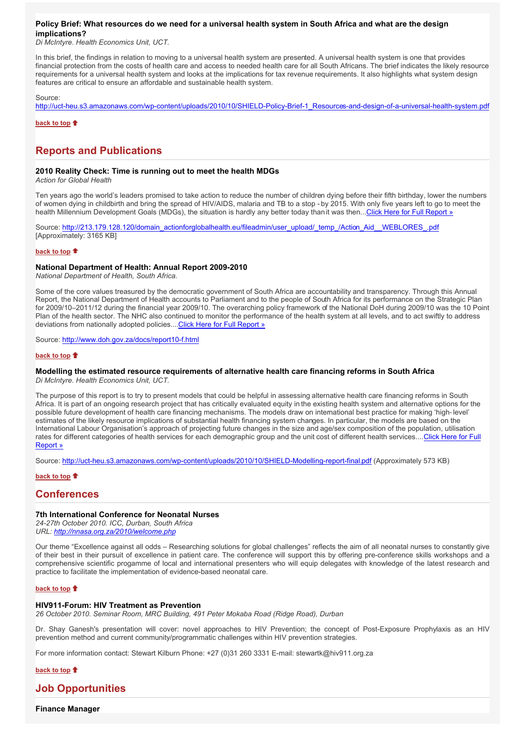## **Policy Brief: What resources do we need for a universal health system in South Africa and what are the design implications?**

*Di McIntyre. Health Economics Unit, UCT.*

In this brief, the findings in relation to moving to a universal health system are presented. A universal health system is one that provides financial protection from the costs of health care and access to needed health care for all South Africans. The brief indicates the likely resource requirements for a universal health system and looks at the implications for tax revenue requirements. It also highlights what system design features are critical to ensure an affordable and sustainable health system.

Source:

http://uct-heu.s3.amazonaws.com/wp-content/uploads/2010/10/SHIELD-Policy-Brief-1\_Resources-and-design-of-a-universal-health-system.pdf

**back to top**  $\uparrow$ 

# **Reports and Publications**

## **2010 Reality Check: Time is running out to meet the health MDGs**

*Action for Global Health*

Ten years ago the world's leaders promised to take action to reduce the number of children dying before their fifth birthday, lower the numbers of women dying in childbirth and bring the spread of HIV/AIDS, malaria and TB to a stop - by 2015. With only five years left to go to meet the health Millennium Development Goals (MDGs), the situation is hardly any better today than it was then...Click Here for Full Report »

Source: http://213.179.128.120/domain\_actionforglobalhealth.eu/fileadmin/user\_upload/\_temp\_/Action\_Aid\_\_WEBLORES\_.pdf [Approximately: 3165 KB]

### **back to top**

## **National Department of Health: Annual Report 2009-2010**

*National Department of Health, South Africa.*

Some of the core values treasured by the democratic government of South Africa are accountability and transparency. Through this Annual Report, the National Department of Health accounts to Parliament and to the people of South Africa for its performance on the Strategic Plan for 2009/10–2011/12 during the financial year 2009/10. The overarching policy framework of the National DoH during 2009/10 was the 10 Point Plan of the health sector. The NHC also continued to monitor the performance of the health system at all levels, and to act swiftly to address deviations from nationally adopted policies....Click Here for Full Report »

Source: http://www.doh.gov.za/docs/report10-f.html

### **back to top**

# **Modelling the estimated resource requirements of alternative health care financing reforms in South Africa**

*Di McIntyre. Health Economics Unit, UCT.*

The purpose of this report is to try to present models that could be helpful in assessing alternative health care financing reforms in South Africa. It is part of an ongoing research project that has critically evaluated equity in the existing health system and alternative options for the possible future development of health care financing mechanisms. The models draw on international best practice for making 'high-level' estimates of the likely resource implications of substantial health financing system changes. In particular, the models are based on the International Labour Organisation's approach of projecting future changes in the size and age/sex composition of the population, utilisation rates for different categories of health services for each demographic group and the unit cost of different health services....Click Here for Full Report »

Source: http://uct-heu.s3.amazonaws.com/wp-content/uploads/2010/10/SHIELD-Modelling-report-final.pdf (Approximately 573 KB)

## **back to top**

## **Conferences**

## **7th International Conference for Neonatal Nurses**

*24-27th October 2010. ICC, Durban, South Africa URL: http://nnasa.org.za/2010/welcome.php*

Our theme "Excellence against all odds – Researching solutions for global challenges" reflects the aim of all neonatal nurses to constantly give of their best in their pursuit of excellence in patient care. The conference will support this by offering pre-conference skills workshops and a comprehensive scientific progamme of local and international presenters who will equip delegates with knowledge of the latest research and practice to facilitate the implementation of evidence-based neonatal care.

### **back to top**

### **HIV911-Forum: HIV Treatment as Prevention**

*26 October 2010. Seminar Room, MRC Building, 491 Peter Mokaba Road (Ridge Road), Durban* 

Dr. Shay Ganesh's presentation will cover: novel approaches to HIV Prevention; the concept of Post-Exposure Prophylaxis as an HIV prevention method and current community/programmatic challenges within HIV prevention strategies.

For more information contact: Stewart Kilburn Phone: +27 (0)31 260 3331 E-mail: stewartk@hiv911.org.za

**back to top**

# **Job Opportunities**

**Finance Manager**